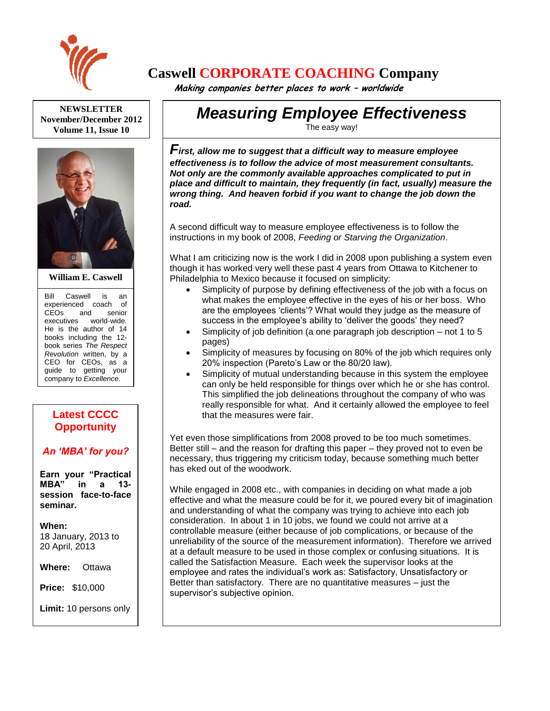

# **Caswell CORPORATE COACHING Company**

 **Making companies better places to work – worldwide**

**NEWSLETTER November/December 2012 Volume 11, Issue 10**



#### **William E. Caswell**

Bill Caswell is an experienced coach of CEOs and senior executives world-wide. He is the author of 14 books including the 12 book series *The Respect Revolution* written, by a CEO for CEOs, as a guide to getting your company to *Excellence*.

## **Latest CCCC Opportunity**

### *An 'MBA' for you?*

**Earn your "Practical MBA" in a 13 session face-to-face seminar.**

**When:**  18 January, 2013 to 20 April, 2013

**Where:** Ottawa

**Price:** \$10,000

**Limit:** 10 persons only

Ask for more details.

# *Measuring Employee Effectiveness*

The easy way!

*First, allow me to suggest that a difficult way to measure employee effectiveness is to follow the advice of most measurement consultants. Not only are the commonly available approaches complicated to put in place and difficult to maintain, they frequently (in fact, usually) measure the wrong thing. And heaven forbid if you want to change the job down the road.*

A second difficult way to measure employee effectiveness is to follow the instructions in my book of 2008, *Feeding or Starving the Organization*.

What I am criticizing now is the work I did in 2008 upon publishing a system even though it has worked very well these past 4 years from Ottawa to Kitchener to Philadelphia to Mexico because it focused on simplicity:

- Simplicity of purpose by defining effectiveness of the job with a focus on what makes the employee effective in the eyes of his or her boss. Who are the employees 'clients'? What would they judge as the measure of success in the employee's ability to 'deliver the goods' they need?
- Simplicity of job definition (a one paragraph job description not 1 to 5 pages)
- Simplicity of measures by focusing on 80% of the job which requires only 20% inspection (Pareto's Law or the 80/20 law).
- Simplicity of mutual understanding because in this system the employee can only be held responsible for things over which he or she has control. This simplified the job delineations throughout the company of who was really responsible for what. And it certainly allowed the employee to feel that the measures were fair.

Yet even those simplifications from 2008 proved to be too much sometimes. Better still – and the reason for drafting this paper – they proved not to even be necessary, thus triggering my criticism today, because something much better has eked out of the woodwork.

While engaged in 2008 etc., with companies in deciding on what made a job effective and what the measure could be for it, we poured every bit of imagination and understanding of what the company was trying to achieve into each job consideration. In about 1 in 10 jobs, we found we could not arrive at a controllable measure (either because of job complications, or because of the unreliability of the source of the measurement information). Therefore we arrived at a default measure to be used in those complex or confusing situations. It is called the Satisfaction Measure. Each week the supervisor looks at the employee and rates the individual's work as: Satisfactory, Unsatisfactory or Better than satisfactory. There are no quantitative measures – just the supervisor's subjective opinion.